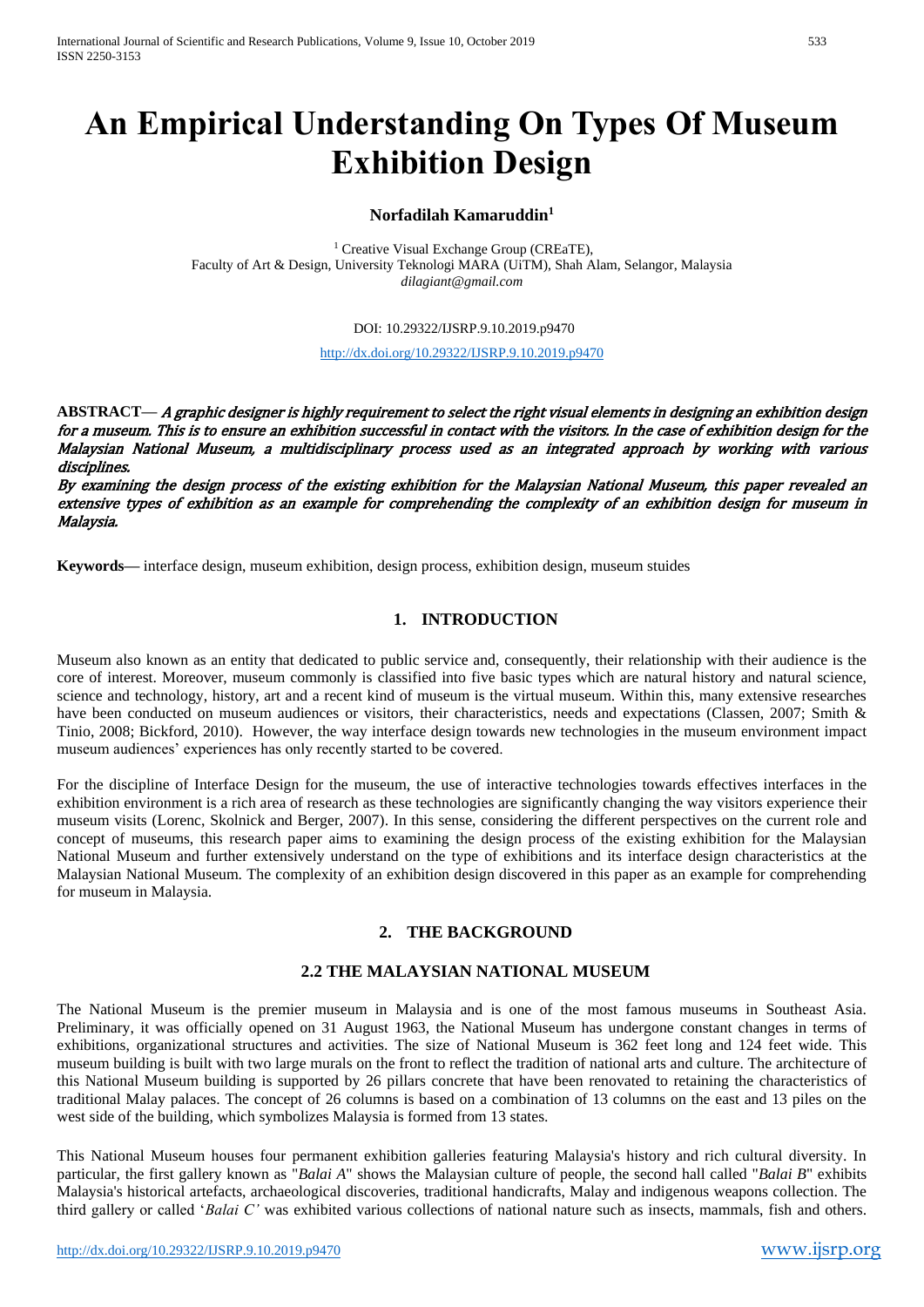# **An Empirical Understanding On Types Of Museum Exhibition Design**

#### **Norfadilah Kamaruddin<sup>1</sup>**

<sup>1</sup> Creative Visual Exchange Group (CREaTE), Faculty of Art & Design, University Teknologi MARA (UiTM), Shah Alam, Selangor, Malaysia *dilagiant@gmail.com*

#### DOI: 10.29322/IJSRP.9.10.2019.p9470

#### <http://dx.doi.org/10.29322/IJSRP.9.10.2019.p9470>

**ABSTRACT—** A graphic designer is highly requirement to select the right visual elements in designing an exhibition design for a museum. This is to ensure an exhibition successful in contact with the visitors. In the case of exhibition design for the Malaysian National Museum, a multidisciplinary process used as an integrated approach by working with various disciplines.

By examining the design process of the existing exhibition for the Malaysian National Museum, this paper revealed an extensive types of exhibition as an example for comprehending the complexity of an exhibition design for museum in Malaysia.

**Keywords—** interface design, museum exhibition, design process, exhibition design, museum stuides

# **1. INTRODUCTION**

Museum also known as an entity that dedicated to public service and, consequently, their relationship with their audience is the core of interest. Moreover, museum commonly is classified into five basic types which are natural history and natural science, science and technology, history, art and a recent kind of museum is the virtual museum. Within this, many extensive researches have been conducted on museum audiences or visitors, their characteristics, needs and expectations (Classen, 2007; Smith & Tinio, 2008; Bickford, 2010). However, the way interface design towards new technologies in the museum environment impact museum audiences' experiences has only recently started to be covered.

For the discipline of Interface Design for the museum, the use of interactive technologies towards effectives interfaces in the exhibition environment is a rich area of research as these technologies are significantly changing the way visitors experience their museum visits (Lorenc, Skolnick and Berger, 2007). In this sense, considering the different perspectives on the current role and concept of museums, this research paper aims to examining the design process of the existing exhibition for the Malaysian National Museum and further extensively understand on the type of exhibitions and its interface design characteristics at the Malaysian National Museum. The complexity of an exhibition design discovered in this paper as an example for comprehending for museum in Malaysia.

# **2. THE BACKGROUND**

# **2.2 THE MALAYSIAN NATIONAL MUSEUM**

The National Museum is the premier museum in Malaysia and is one of the most famous museums in Southeast Asia. Preliminary, it was officially opened on 31 August 1963, the National Museum has undergone constant changes in terms of exhibitions, organizational structures and activities. The size of National Museum is 362 feet long and 124 feet wide. This museum building is built with two large murals on the front to reflect the tradition of national arts and culture. The architecture of this National Museum building is supported by 26 pillars concrete that have been renovated to retaining the characteristics of traditional Malay palaces. The concept of 26 columns is based on a combination of 13 columns on the east and 13 piles on the west side of the building, which symbolizes Malaysia is formed from 13 states.

This National Museum houses four permanent exhibition galleries featuring Malaysia's history and rich cultural diversity. In particular, the first gallery known as "*Balai A*" shows the Malaysian culture of people, the second hall called "*Balai B*" exhibits Malaysia's historical artefacts, archaeological discoveries, traditional handicrafts, Malay and indigenous weapons collection. The third gallery or called '*Balai C'* was exhibited various collections of national nature such as insects, mammals, fish and others.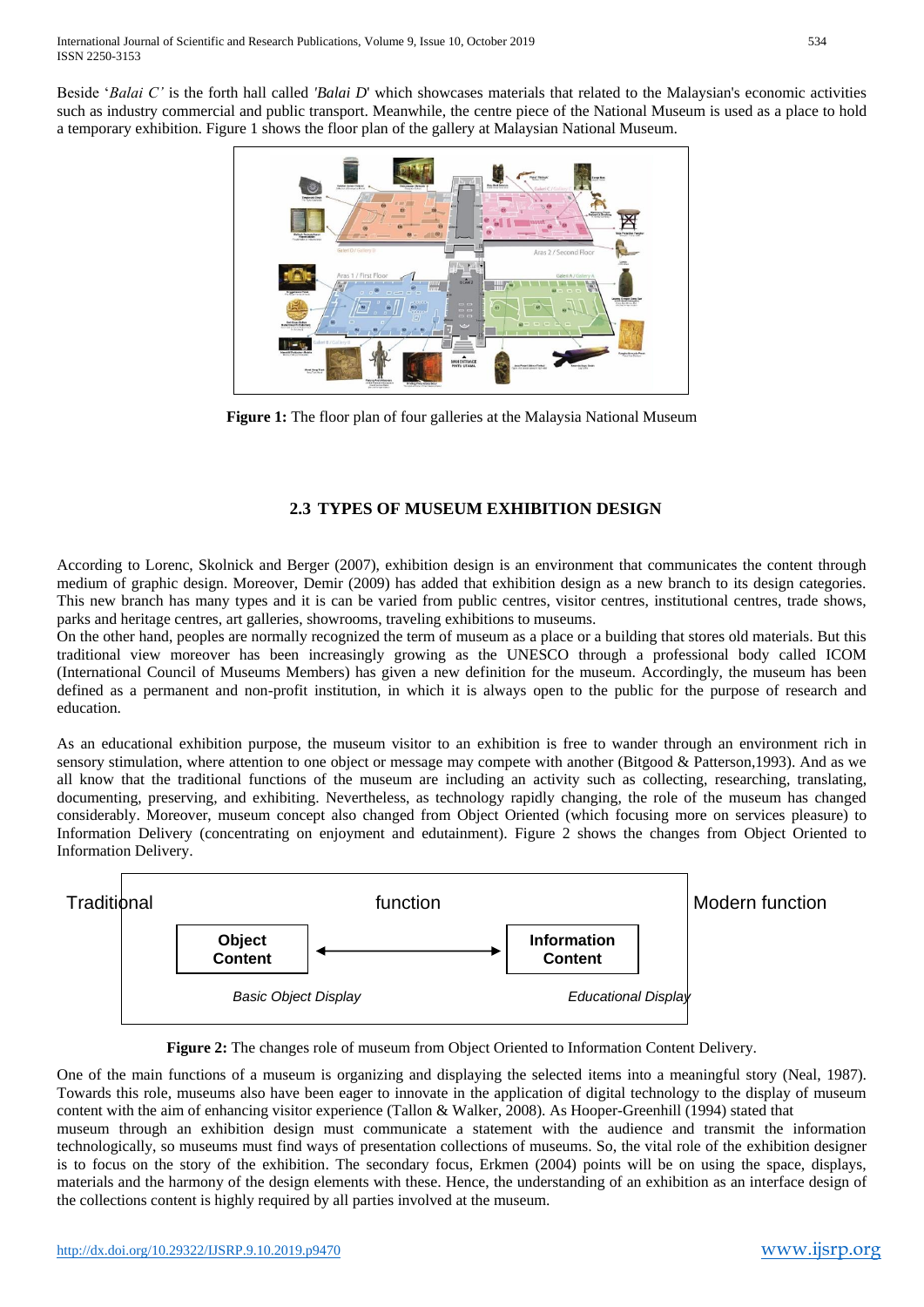Beside '*Balai C'* is the forth hall called *'Balai D*' which showcases materials that related to the Malaysian's economic activities such as industry commercial and public transport. Meanwhile, the centre piece of the National Museum is used as a place to hold a temporary exhibition. Figure 1 shows the floor plan of the gallery at Malaysian National Museum.



**Figure 1:** The floor plan of four galleries at the Malaysia National Museum

# **2.3 TYPES OF MUSEUM EXHIBITION DESIGN**

According to Lorenc, Skolnick and Berger (2007), exhibition design is an environment that communicates the content through medium of graphic design. Moreover, Demir (2009) has added that exhibition design as a new branch to its design categories. This new branch has many types and it is can be varied from public centres, visitor centres, institutional centres, trade shows, parks and heritage centres, art galleries, showrooms, traveling exhibitions to museums.

On the other hand, peoples are normally recognized the term of museum as a place or a building that stores old materials. But this traditional view moreover has been increasingly growing as the UNESCO through a professional body called ICOM (International Council of Museums Members) has given a new definition for the museum. Accordingly, the museum has been defined as a permanent and non-profit institution, in which it is always open to the public for the purpose of research and education.

As an educational exhibition purpose, the museum visitor to an exhibition is free to wander through an environment rich in sensory stimulation, where attention to one object or message may compete with another (Bitgood & Patterson,1993). And as we all know that the traditional functions of the museum are including an activity such as collecting, researching, translating, documenting, preserving, and exhibiting. Nevertheless, as technology rapidly changing, the role of the museum has changed considerably. Moreover, museum concept also changed from Object Oriented (which focusing more on services pleasure) to Information Delivery (concentrating on enjoyment and edutainment). Figure 2 shows the changes from Object Oriented to Information Delivery.



**Figure 2:** The changes role of museum from Object Oriented to Information Content Delivery.

One of the main functions of a museum is organizing and displaying the selected items into a meaningful story (Neal, 1987). Towards this role, museums also have been eager to innovate in the application of digital technology to the display of museum content with the aim of enhancing visitor experience (Tallon & Walker, 2008). As Hooper-Greenhill (1994) stated that museum through an exhibition design must communicate a statement with the audience and transmit the information

technologically, so museums must find ways of presentation collections of museums. So, the vital role of the exhibition designer is to focus on the story of the exhibition. The secondary focus, Erkmen (2004) points will be on using the space, displays, materials and the harmony of the design elements with these. Hence, the understanding of an exhibition as an interface design of the collections content is highly required by all parties involved at the museum.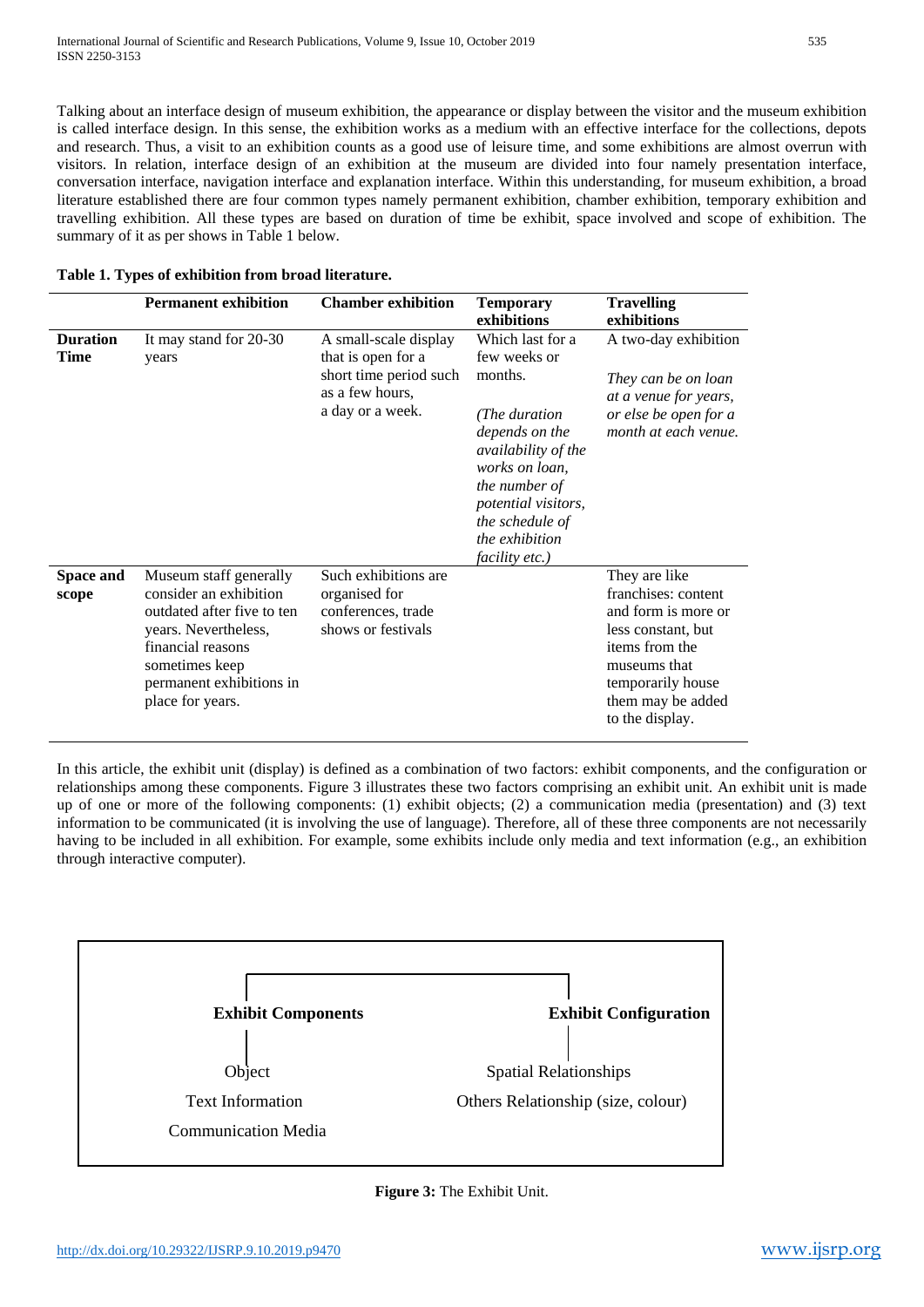Talking about an interface design of museum exhibition, the appearance or display between the visitor and the museum exhibition is called interface design. In this sense, the exhibition works as a medium with an effective interface for the collections, depots and research. Thus, a visit to an exhibition counts as a good use of leisure time, and some exhibitions are almost overrun with visitors. In relation, interface design of an exhibition at the museum are divided into four namely presentation interface, conversation interface, navigation interface and explanation interface. Within this understanding, for museum exhibition, a broad literature established there are four common types namely permanent exhibition, chamber exhibition, temporary exhibition and travelling exhibition. All these types are based on duration of time be exhibit, space involved and scope of exhibition. The summary of it as per shows in Table 1 below.

|                           | <b>Permanent exhibition</b>                                                                                                                                                                   | <b>Chamber exhibition</b>                                                                                    | <b>Temporary</b><br>exhibitions                                                                                                                                                                                                      | <b>Travelling</b><br>exhibitions                                                                                                                                                 |
|---------------------------|-----------------------------------------------------------------------------------------------------------------------------------------------------------------------------------------------|--------------------------------------------------------------------------------------------------------------|--------------------------------------------------------------------------------------------------------------------------------------------------------------------------------------------------------------------------------------|----------------------------------------------------------------------------------------------------------------------------------------------------------------------------------|
| <b>Duration</b><br>Time   | It may stand for 20-30<br>years                                                                                                                                                               | A small-scale display<br>that is open for a<br>short time period such<br>as a few hours,<br>a day or a week. | Which last for a<br>few weeks or<br>months.<br>(The duration<br>depends on the<br>availability of the<br>works on loan,<br><i>the number of</i><br>potential visitors,<br>the schedule of<br>the exhibition<br><i>facility etc.)</i> | A two-day exhibition<br>They can be on loan<br>at a venue for years,<br>or else be open for a<br>month at each venue.                                                            |
| <b>Space and</b><br>scope | Museum staff generally<br>consider an exhibition<br>outdated after five to ten<br>years. Nevertheless,<br>financial reasons<br>sometimes keep<br>permanent exhibitions in<br>place for years. | Such exhibitions are<br>organised for<br>conferences, trade<br>shows or festivals                            |                                                                                                                                                                                                                                      | They are like<br>franchises: content<br>and form is more or<br>less constant, but<br>items from the<br>museums that<br>temporarily house<br>them may be added<br>to the display. |

In this article, the exhibit unit (display) is defined as a combination of two factors: exhibit components, and the configuration or relationships among these components. Figure 3 illustrates these two factors comprising an exhibit unit. An exhibit unit is made up of one or more of the following components: (1) exhibit objects; (2) a communication media (presentation) and (3) text information to be communicated (it is involving the use of language). Therefore, all of these three components are not necessarily having to be included in all exhibition. For example, some exhibits include only media and text information (e.g., an exhibition through interactive computer).



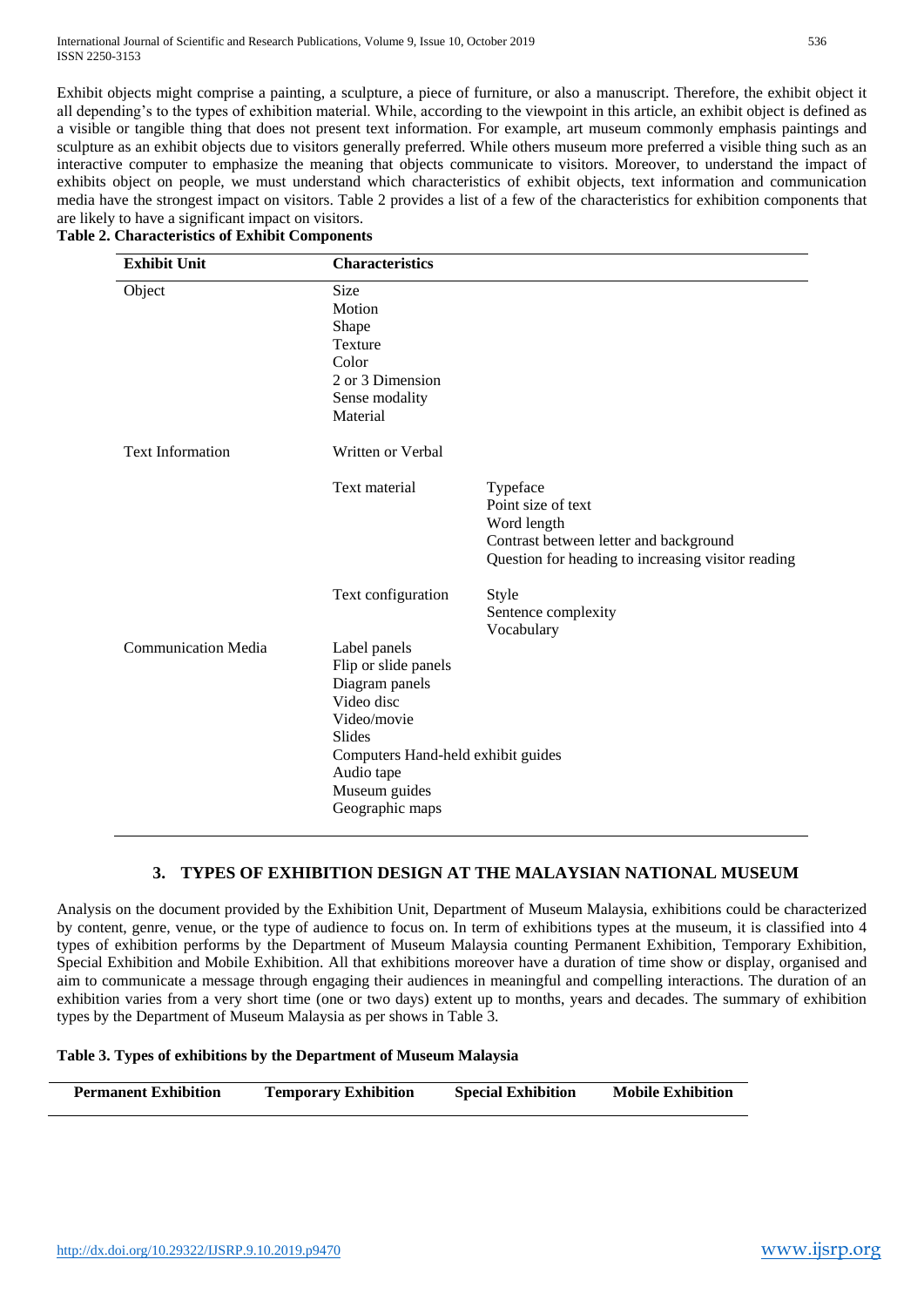Exhibit objects might comprise a painting, a sculpture, a piece of furniture, or also a manuscript. Therefore, the exhibit object it all depending's to the types of exhibition material. While, according to the viewpoint in this article, an exhibit object is defined as a visible or tangible thing that does not present text information. For example, art museum commonly emphasis paintings and sculpture as an exhibit objects due to visitors generally preferred. While others museum more preferred a visible thing such as an interactive computer to emphasize the meaning that objects communicate to visitors. Moreover, to understand the impact of exhibits object on people, we must understand which characteristics of exhibit objects, text information and communication media have the strongest impact on visitors. Table 2 provides a list of a few of the characteristics for exhibition components that are likely to have a significant impact on visitors.

| <b>Exhibit Unit</b>        | <b>Characteristics</b>                                                                                                                                                                       |                                                                                                                                               |
|----------------------------|----------------------------------------------------------------------------------------------------------------------------------------------------------------------------------------------|-----------------------------------------------------------------------------------------------------------------------------------------------|
| Object                     | Size<br>Motion<br>Shape<br><b>Texture</b><br>Color<br>2 or 3 Dimension<br>Sense modality<br>Material                                                                                         |                                                                                                                                               |
| <b>Text Information</b>    | Written or Verbal                                                                                                                                                                            |                                                                                                                                               |
|                            | Text material                                                                                                                                                                                | Typeface<br>Point size of text<br>Word length<br>Contrast between letter and background<br>Question for heading to increasing visitor reading |
|                            | Text configuration                                                                                                                                                                           | Style<br>Sentence complexity<br>Vocabulary                                                                                                    |
| <b>Communication Media</b> | Label panels<br>Flip or slide panels<br>Diagram panels<br>Video disc<br>Video/movie<br><b>Slides</b><br>Computers Hand-held exhibit guides<br>Audio tape<br>Museum guides<br>Geographic maps |                                                                                                                                               |

# **Table 2. Characteristics of Exhibit Components**

# **3. TYPES OF EXHIBITION DESIGN AT THE MALAYSIAN NATIONAL MUSEUM**

Analysis on the document provided by the Exhibition Unit, Department of Museum Malaysia, exhibitions could be characterized by content, genre, venue, or the type of audience to focus on. In term of exhibitions types at the museum, it is classified into 4 types of exhibition performs by the Department of Museum Malaysia counting Permanent Exhibition, Temporary Exhibition, Special Exhibition and Mobile Exhibition. All that exhibitions moreover have a duration of time show or display, organised and aim to communicate a message through engaging their audiences in meaningful and compelling interactions. The duration of an exhibition varies from a very short time (one or two days) extent up to months, years and decades. The summary of exhibition types by the Department of Museum Malaysia as per shows in Table 3.

#### **Table 3. Types of exhibitions by the Department of Museum Malaysia**

| <b>Mobile Exhibition</b> |
|--------------------------|
|                          |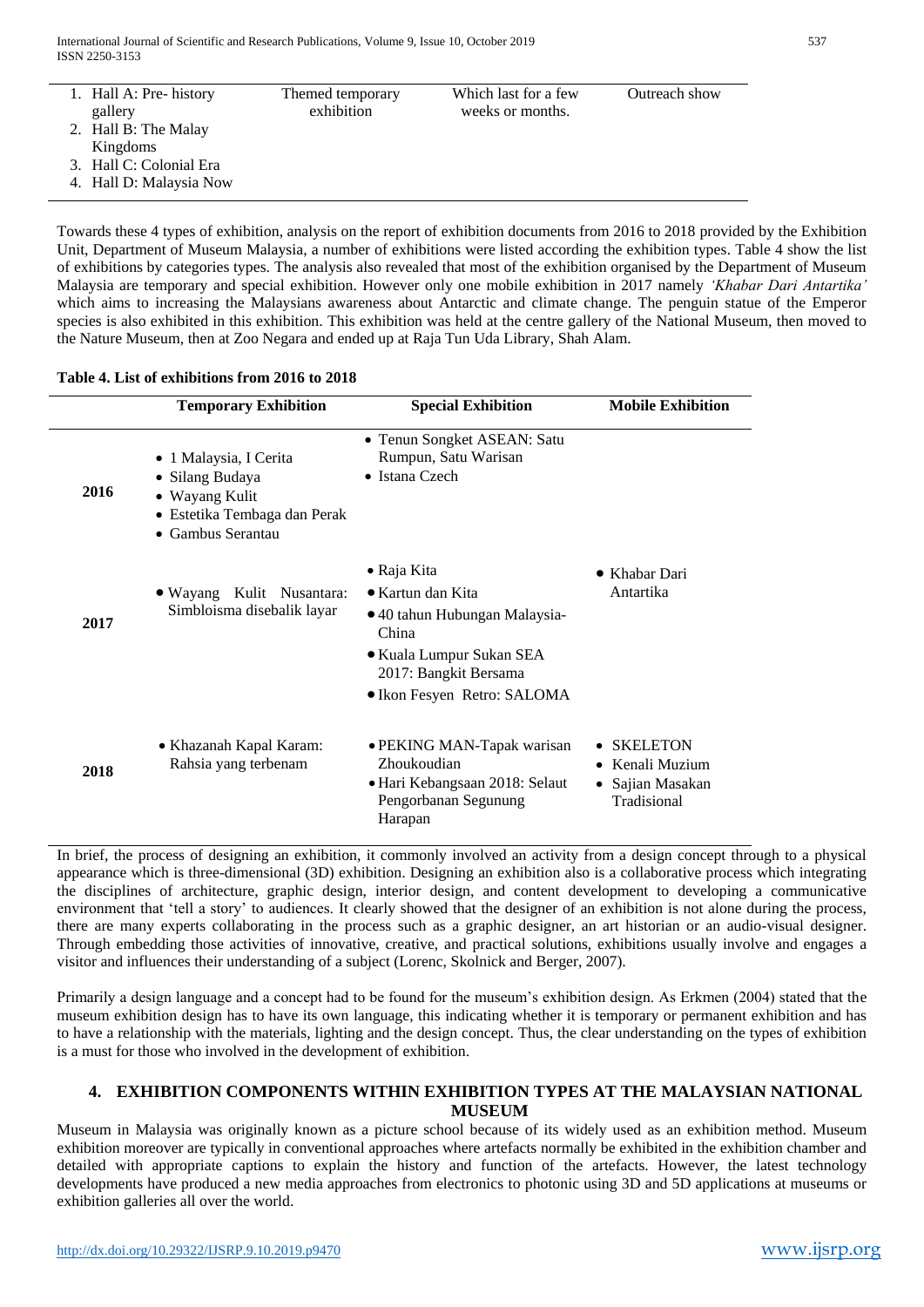| 1. Hall A: Pre- history | Themed temporary | Which last for a few | Outreach show |
|-------------------------|------------------|----------------------|---------------|
| gallery                 | exhibition       | weeks or months.     |               |
| 2. Hall B: The Malay    |                  |                      |               |
| Kingdoms                |                  |                      |               |
| 3. Hall C: Colonial Era |                  |                      |               |
| 4. Hall D: Malaysia Now |                  |                      |               |
|                         |                  |                      |               |

Towards these 4 types of exhibition, analysis on the report of exhibition documents from 2016 to 2018 provided by the Exhibition Unit, Department of Museum Malaysia, a number of exhibitions were listed according the exhibition types. Table 4 show the list of exhibitions by categories types. The analysis also revealed that most of the exhibition organised by the Department of Museum Malaysia are temporary and special exhibition. However only one mobile exhibition in 2017 namely *'Khabar Dari Antartika'*  which aims to increasing the Malaysians awareness about Antarctic and climate change. The penguin statue of the Emperor species is also exhibited in this exhibition. This exhibition was held at the centre gallery of the National Museum, then moved to the Nature Museum, then at Zoo Negara and ended up at Raja Tun Uda Library, Shah Alam.

#### **Table 4. List of exhibitions from 2016 to 2018**

|      | <b>Temporary Exhibition</b>                                                                                      | <b>Special Exhibition</b>                                                                                                                                                      | <b>Mobile Exhibition</b>                                          |
|------|------------------------------------------------------------------------------------------------------------------|--------------------------------------------------------------------------------------------------------------------------------------------------------------------------------|-------------------------------------------------------------------|
| 2016 | • 1 Malaysia, I Cerita<br>• Silang Budaya<br>• Wayang Kulit<br>• Estetika Tembaga dan Perak<br>• Gambus Serantau | • Tenun Songket ASEAN: Satu<br>Rumpun, Satu Warisan<br>• Istana Czech                                                                                                          |                                                                   |
| 2017 | Kulit Nusantara:<br>$\bullet$ Wayang<br>Simbloisma disebalik layar                                               | $\bullet$ Raja Kita<br>$\bullet$ Kartun dan Kita<br>• 40 tahun Hubungan Malaysia-<br>China<br>• Kuala Lumpur Sukan SEA<br>2017: Bangkit Bersama<br>• Ikon Fesyen Retro: SALOMA | $\bullet$ Khabar Dari<br>Antartika                                |
| 2018 | • Khazanah Kapal Karam:<br>Rahsia yang terbenam                                                                  | • PEKING MAN-Tapak warisan<br>Zhoukoudian<br>• Hari Kebangsaan 2018: Selaut<br>Pengorbanan Segunung<br>Harapan                                                                 | <b>SKELETON</b><br>Kenali Muzium<br>Sajian Masakan<br>Tradisional |

In brief, the process of designing an exhibition, it commonly involved an activity from a design concept through to a physical appearance which is three-dimensional (3D) exhibition. Designing an exhibition also is a collaborative process which integrating the disciplines of architecture, graphic design, interior design, and content development to developing a communicative environment that 'tell a story' to audiences. It clearly showed that the designer of an exhibition is not alone during the process, there are many experts collaborating in the process such as a graphic designer, an art historian or an audio-visual designer. Through embedding those activities of innovative, creative, and practical solutions, exhibitions usually involve and engages a visitor and influences their understanding of a subject (Lorenc, Skolnick and Berger, 2007).

Primarily a design language and a concept had to be found for the museum's exhibition design. As Erkmen (2004) stated that the museum exhibition design has to have its own language, this indicating whether it is temporary or permanent exhibition and has to have a relationship with the materials, lighting and the design concept. Thus, the clear understanding on the types of exhibition is a must for those who involved in the development of exhibition.

# **4. EXHIBITION COMPONENTS WITHIN EXHIBITION TYPES AT THE MALAYSIAN NATIONAL MUSEUM**

Museum in Malaysia was originally known as a picture school because of its widely used as an exhibition method. Museum exhibition moreover are typically in conventional approaches where artefacts normally be exhibited in the exhibition chamber and detailed with appropriate captions to explain the history and function of the artefacts. However, the latest technology developments have produced a new media approaches from electronics to photonic using 3D and 5D applications at museums or exhibition galleries all over the world.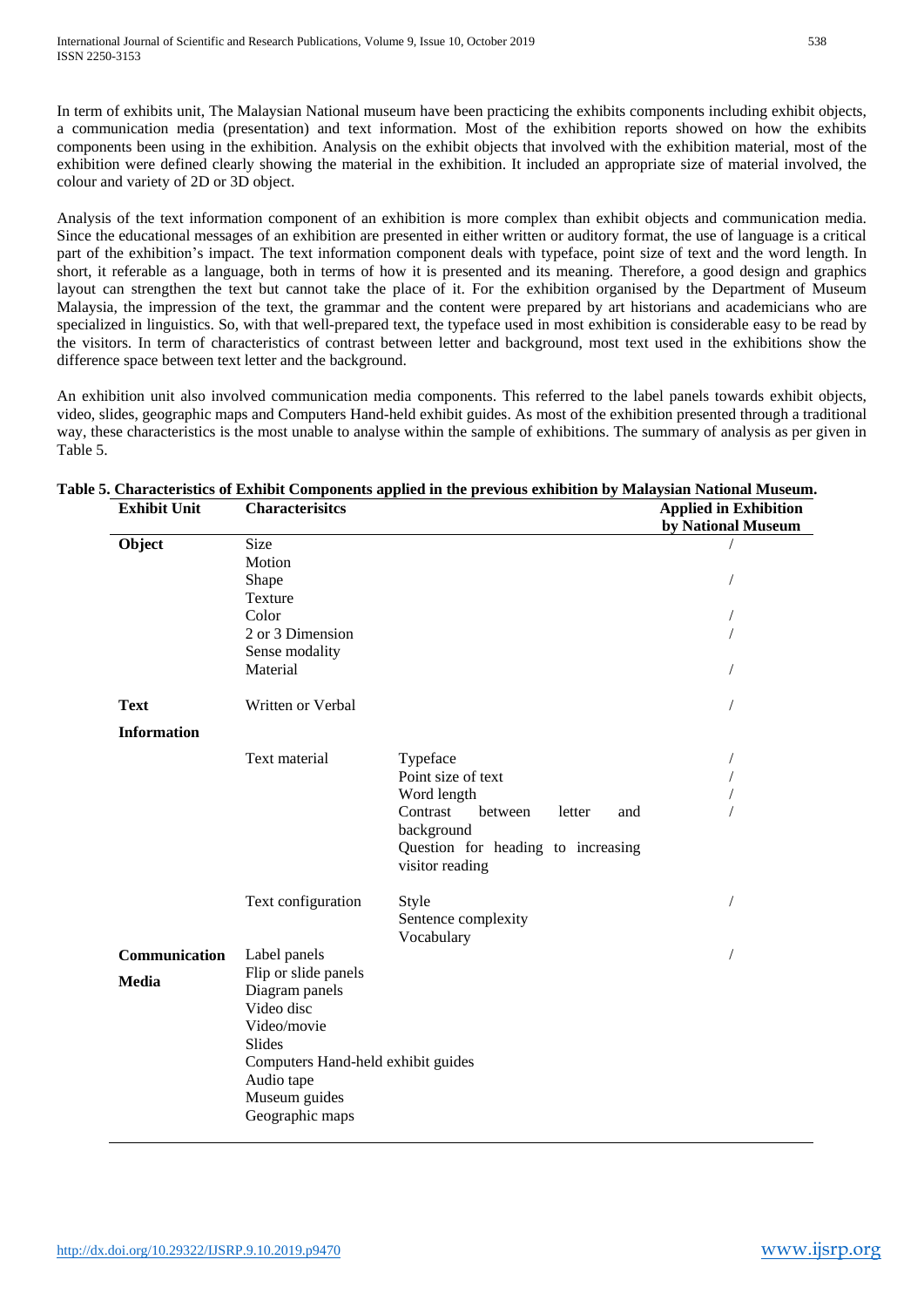In term of exhibits unit, The Malaysian National museum have been practicing the exhibits components including exhibit objects, a communication media (presentation) and text information. Most of the exhibition reports showed on how the exhibits components been using in the exhibition. Analysis on the exhibit objects that involved with the exhibition material, most of the exhibition were defined clearly showing the material in the exhibition. It included an appropriate size of material involved, the colour and variety of 2D or 3D object.

Analysis of the text information component of an exhibition is more complex than exhibit objects and communication media. Since the educational messages of an exhibition are presented in either written or auditory format, the use of language is a critical part of the exhibition's impact. The text information component deals with typeface, point size of text and the word length. In short, it referable as a language, both in terms of how it is presented and its meaning. Therefore, a good design and graphics layout can strengthen the text but cannot take the place of it. For the exhibition organised by the Department of Museum Malaysia, the impression of the text, the grammar and the content were prepared by art historians and academicians who are specialized in linguistics. So, with that well-prepared text, the typeface used in most exhibition is considerable easy to be read by the visitors. In term of characteristics of contrast between letter and background, most text used in the exhibitions show the difference space between text letter and the background.

An exhibition unit also involved communication media components. This referred to the label panels towards exhibit objects, video, slides, geographic maps and Computers Hand-held exhibit guides. As most of the exhibition presented through a traditional way, these characteristics is the most unable to analyse within the sample of exhibitions. The summary of analysis as per given in Table 5.

| <b>Exhibit Unit</b> | <b>Characterisitcs</b>             |                                                    | <b>Applied in Exhibition</b><br>by National Museum |
|---------------------|------------------------------------|----------------------------------------------------|----------------------------------------------------|
| Object              | Size<br>Motion                     |                                                    |                                                    |
|                     | Shape                              |                                                    |                                                    |
|                     | Texture<br>Color                   |                                                    |                                                    |
|                     | 2 or 3 Dimension                   |                                                    |                                                    |
|                     | Sense modality                     |                                                    |                                                    |
|                     | Material                           |                                                    |                                                    |
| <b>Text</b>         | Written or Verbal                  |                                                    |                                                    |
| <b>Information</b>  |                                    |                                                    |                                                    |
|                     | Text material                      | Typeface                                           |                                                    |
|                     |                                    | Point size of text                                 |                                                    |
|                     |                                    | Word length                                        |                                                    |
|                     |                                    | Contrast<br>between<br>letter<br>and<br>background |                                                    |
|                     |                                    | Question for heading to increasing                 |                                                    |
|                     |                                    | visitor reading                                    |                                                    |
|                     | Text configuration                 | Style                                              |                                                    |
|                     |                                    | Sentence complexity<br>Vocabulary                  |                                                    |
| Communication       | Label panels                       |                                                    |                                                    |
| Media               | Flip or slide panels               |                                                    |                                                    |
|                     | Diagram panels<br>Video disc       |                                                    |                                                    |
|                     | Video/movie                        |                                                    |                                                    |
|                     | Slides                             |                                                    |                                                    |
|                     | Computers Hand-held exhibit guides |                                                    |                                                    |
|                     | Audio tape                         |                                                    |                                                    |
|                     | Museum guides<br>Geographic maps   |                                                    |                                                    |
|                     |                                    |                                                    |                                                    |

# **Table 5. Characteristics of Exhibit Components applied in the previous exhibition by Malaysian National Museum.**